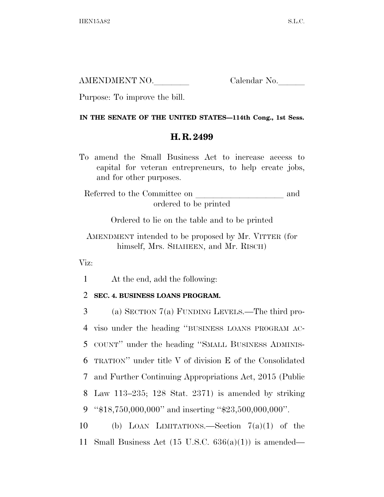AMENDMENT NO. Calendar No.

Purpose: To improve the bill.

## **IN THE SENATE OF THE UNITED STATES—114th Cong., 1st Sess.**

## **H. R. 2499**

To amend the Small Business Act to increase access to capital for veteran entrepreneurs, to help create jobs, and for other purposes.

Referred to the Committee on  $\hfill$  and ordered to be printed

Ordered to lie on the table and to be printed

AMENDMENT intended to be proposed by Mr. VITTER (for himself, Mrs. SHAHEEN, and Mr. RISCH)

Viz:

1 At the end, add the following:

## 2 **SEC. 4. BUSINESS LOANS PROGRAM.**

 (a) SECTION 7(a) FUNDING LEVELS.—The third pro- viso under the heading ''BUSINESS LOANS PROGRAM AC- COUNT'' under the heading ''SMALL BUSINESS ADMINIS- TRATION'' under title V of division E of the Consolidated and Further Continuing Appropriations Act, 2015 (Public Law 113–235; 128 Stat. 2371) is amended by striking ''\$18,750,000,000'' and inserting ''\$23,500,000,000''.

10 (b) LOAN LIMITATIONS.—Section 7(a)(1) of the 11 Small Business Act  $(15 \text{ U.S.C. } 636(a)(1))$  is amended—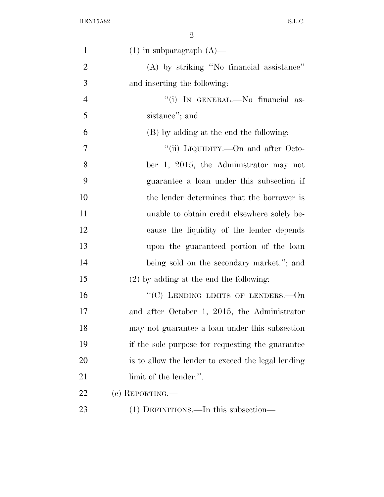| $\mathbf{1}$   | $(1)$ in subparagraph $(A)$ —                      |
|----------------|----------------------------------------------------|
| $\overline{2}$ | (A) by striking "No financial assistance"          |
| 3              | and inserting the following:                       |
| $\overline{4}$ | "(i) IN GENERAL.—No financial as-                  |
| 5              | sistance"; and                                     |
| 6              | (B) by adding at the end the following:            |
| 7              | "(ii) LIQUIDITY.—On and after Octo-                |
| 8              | ber 1, 2015, the Administrator may not             |
| 9              | guarantee a loan under this subsection if          |
| 10             | the lender determines that the borrower is         |
| 11             | unable to obtain credit elsewhere solely be-       |
| 12             | cause the liquidity of the lender depends          |
| 13             | upon the guaranteed portion of the loan            |
| 14             | being sold on the secondary market."; and          |
| 15             | $(2)$ by adding at the end the following:          |
| 16             | "(C) LENDING LIMITS OF LENDERS. $-$ On             |
| 17             | and after October 1, 2015, the Administrator       |
| 18             | may not guarantee a loan under this subsection     |
| 19             | if the sole purpose for requesting the guarantee   |
| 20             | is to allow the lender to exceed the legal lending |
| 21             | limit of the lender.".                             |
| 22             | (c) REPORTING.—                                    |
| 23             | (1) DEFINITIONS.—In this subsection—               |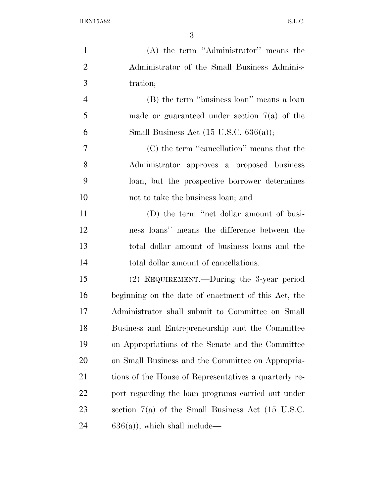| $\mathbf{1}$   | $(A)$ the term "Administrator" means the              |
|----------------|-------------------------------------------------------|
| $\overline{2}$ | Administrator of the Small Business Adminis-          |
| 3              | tration;                                              |
| $\overline{4}$ | (B) the term "business loan" means a loan             |
| 5              | made or guaranteed under section $7(a)$ of the        |
| 6              | Small Business Act $(15 \text{ U.S.C. } 636(a));$     |
| $\overline{7}$ | (C) the term "cancellation" means that the            |
| 8              | Administrator approves a proposed business            |
| 9              | loan, but the prospective borrower determines         |
| 10             | not to take the business loan; and                    |
| 11             | (D) the term "net dollar amount of busi-              |
| 12             | ness loans" means the difference between the          |
| 13             | total dollar amount of business loans and the         |
| 14             | total dollar amount of cancellations.                 |
| 15             | (2) REQUIREMENT.—During the 3-year period             |
| 16             | beginning on the date of enactment of this Act, the   |
| 17             | Administrator shall submit to Committee on Small      |
| 18             | Business and Entrepreneurship and the Committee       |
| 19             | on Appropriations of the Senate and the Committee     |
| 20             | on Small Business and the Committee on Appropria-     |
| 21             | tions of the House of Representatives a quarterly re- |
| 22             | port regarding the loan programs carried out under    |
| 23             | section $7(a)$ of the Small Business Act (15 U.S.C.   |
| 24             | $636(a)$ , which shall include—                       |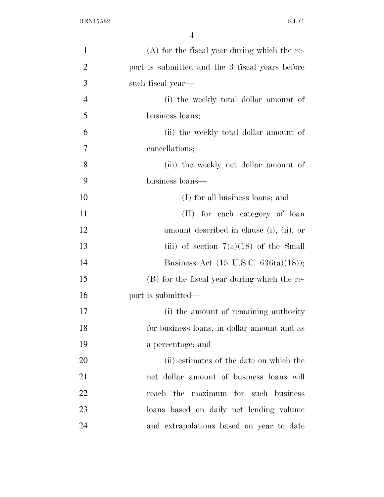| $\mathbf{1}$   | $(A)$ for the fiscal year during which the re-  |
|----------------|-------------------------------------------------|
| $\overline{2}$ | port is submitted and the 3 fiscal years before |
| 3              | such fiscal year—                               |
| $\overline{4}$ | (i) the weekly total dollar amount of           |
| 5              | business loans;                                 |
| 6              | (ii) the weekly total dollar amount of          |
| $\overline{7}$ | cancellations;                                  |
| 8              | (iii) the weekly net dollar amount of           |
| 9              | business loans—                                 |
| 10             | (I) for all business loans; and                 |
| 11             | (II) for each category of loan                  |
| 12             | amount described in clause (i), (ii), or        |
| 13             | (iii) of section $7(a)(18)$ of the Small        |
| 14             | Business Act $(15 \text{ U.S.C. } 636(a)(18));$ |
| 15             | (B) for the fiscal year during which the re-    |
| 16             | port is submitted—                              |
| 17             | (i) the amount of remaining authority           |
| 18             | for business loans, in dollar amount and as     |
| 19             | a percentage; and                               |
| 20             | (ii) estimates of the date on which the         |
| 21             | net dollar amount of business loans will        |
| 22             | reach the maximum for such business             |
| 23             | loans based on daily net lending volume         |
| 24             | and extrapolations based on year to date        |